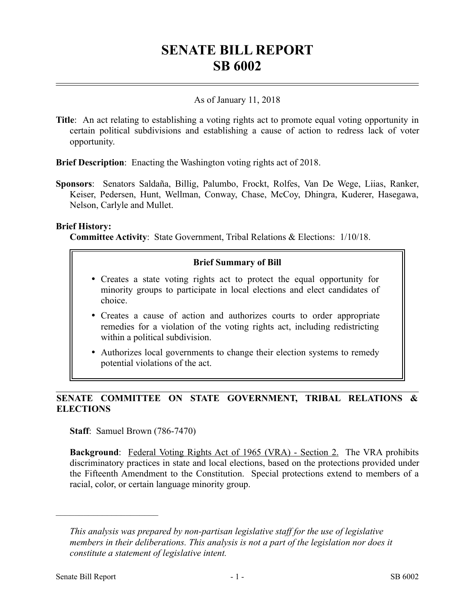# **SENATE BILL REPORT SB 6002**

### As of January 11, 2018

**Title**: An act relating to establishing a voting rights act to promote equal voting opportunity in certain political subdivisions and establishing a cause of action to redress lack of voter opportunity.

**Brief Description**: Enacting the Washington voting rights act of 2018.

**Sponsors**: Senators Saldaña, Billig, Palumbo, Frockt, Rolfes, Van De Wege, Liias, Ranker, Keiser, Pedersen, Hunt, Wellman, Conway, Chase, McCoy, Dhingra, Kuderer, Hasegawa, Nelson, Carlyle and Mullet.

#### **Brief History:**

**Committee Activity**: State Government, Tribal Relations & Elections: 1/10/18.

#### **Brief Summary of Bill**

- Creates a state voting rights act to protect the equal opportunity for minority groups to participate in local elections and elect candidates of choice.
- Creates a cause of action and authorizes courts to order appropriate remedies for a violation of the voting rights act, including redistricting within a political subdivision.
- Authorizes local governments to change their election systems to remedy potential violations of the act.

## **SENATE COMMITTEE ON STATE GOVERNMENT, TRIBAL RELATIONS & ELECTIONS**

**Staff**: Samuel Brown (786-7470)

**Background**: Federal Voting Rights Act of 1965 (VRA) - Section 2. The VRA prohibits discriminatory practices in state and local elections, based on the protections provided under the Fifteenth Amendment to the Constitution. Special protections extend to members of a racial, color, or certain language minority group.

––––––––––––––––––––––

*This analysis was prepared by non-partisan legislative staff for the use of legislative members in their deliberations. This analysis is not a part of the legislation nor does it constitute a statement of legislative intent.*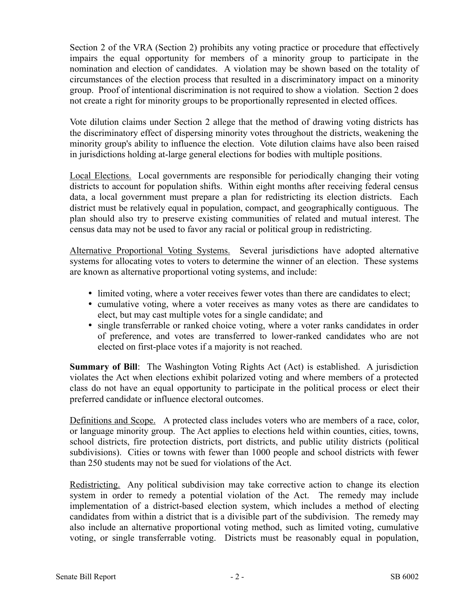Section 2 of the VRA (Section 2) prohibits any voting practice or procedure that effectively impairs the equal opportunity for members of a minority group to participate in the nomination and election of candidates. A violation may be shown based on the totality of circumstances of the election process that resulted in a discriminatory impact on a minority group. Proof of intentional discrimination is not required to show a violation. Section 2 does not create a right for minority groups to be proportionally represented in elected offices.

Vote dilution claims under Section 2 allege that the method of drawing voting districts has the discriminatory effect of dispersing minority votes throughout the districts, weakening the minority group's ability to influence the election. Vote dilution claims have also been raised in jurisdictions holding at-large general elections for bodies with multiple positions.

Local Elections. Local governments are responsible for periodically changing their voting districts to account for population shifts. Within eight months after receiving federal census data, a local government must prepare a plan for redistricting its election districts. Each district must be relatively equal in population, compact, and geographically contiguous. The plan should also try to preserve existing communities of related and mutual interest. The census data may not be used to favor any racial or political group in redistricting.

Alternative Proportional Voting Systems. Several jurisdictions have adopted alternative systems for allocating votes to voters to determine the winner of an election. These systems are known as alternative proportional voting systems, and include:

- limited voting, where a voter receives fewer votes than there are candidates to elect;
- cumulative voting, where a voter receives as many votes as there are candidates to elect, but may cast multiple votes for a single candidate; and
- single transferrable or ranked choice voting, where a voter ranks candidates in order of preference, and votes are transferred to lower-ranked candidates who are not elected on first-place votes if a majority is not reached.

**Summary of Bill**: The Washington Voting Rights Act (Act) is established. A jurisdiction violates the Act when elections exhibit polarized voting and where members of a protected class do not have an equal opportunity to participate in the political process or elect their preferred candidate or influence electoral outcomes.

Definitions and Scope. A protected class includes voters who are members of a race, color, or language minority group. The Act applies to elections held within counties, cities, towns, school districts, fire protection districts, port districts, and public utility districts (political subdivisions). Cities or towns with fewer than 1000 people and school districts with fewer than 250 students may not be sued for violations of the Act.

Redistricting. Any political subdivision may take corrective action to change its election system in order to remedy a potential violation of the Act. The remedy may include implementation of a district-based election system, which includes a method of electing candidates from within a district that is a divisible part of the subdivision. The remedy may also include an alternative proportional voting method, such as limited voting, cumulative voting, or single transferrable voting. Districts must be reasonably equal in population,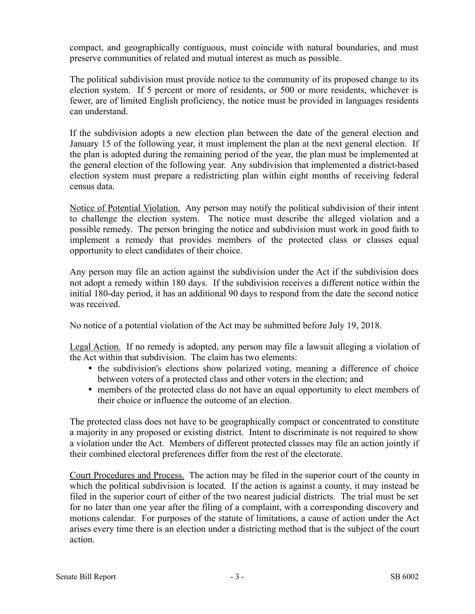compact, and geographically contiguous, must coincide with natural boundaries, and must preserve communities of related and mutual interest as much as possible.

The political subdivision must provide notice to the community of its proposed change to its election system. If 5 percent or more of residents, or 500 or more residents, whichever is fewer, are of limited English proficiency, the notice must be provided in languages residents can understand.

If the subdivision adopts a new election plan between the date of the general election and January 15 of the following year, it must implement the plan at the next general election. If the plan is adopted during the remaining period of the year, the plan must be implemented at the general election of the following year. Any subdivision that implemented a district-based election system must prepare a redistricting plan within eight months of receiving federal census data.

Notice of Potential Violation. Any person may notify the political subdivision of their intent to challenge the election system. The notice must describe the alleged violation and a possible remedy. The person bringing the notice and subdivision must work in good faith to implement a remedy that provides members of the protected class or classes equal opportunity to elect candidates of their choice.

Any person may file an action against the subdivision under the Act if the subdivision does not adopt a remedy within 180 days. If the subdivision receives a different notice within the initial 180-day period, it has an additional 90 days to respond from the date the second notice was received.

No notice of a potential violation of the Act may be submitted before July 19, 2018.

Legal Action. If no remedy is adopted, any person may file a lawsuit alleging a violation of the Act within that subdivision. The claim has two elements:

- the subdivision's elections show polarized voting, meaning a difference of choice between voters of a protected class and other voters in the election; and
- members of the protected class do not have an equal opportunity to elect members of their choice or influence the outcome of an election.

The protected class does not have to be geographically compact or concentrated to constitute a majority in any proposed or existing district. Intent to discriminate is not required to show a violation under the Act. Members of different protected classes may file an action jointly if their combined electoral preferences differ from the rest of the electorate.

Court Procedures and Process. The action may be filed in the superior court of the county in which the political subdivision is located. If the action is against a county, it may instead be filed in the superior court of either of the two nearest judicial districts. The trial must be set for no later than one year after the filing of a complaint, with a corresponding discovery and motions calendar. For purposes of the statute of limitations, a cause of action under the Act arises every time there is an election under a districting method that is the subject of the court action.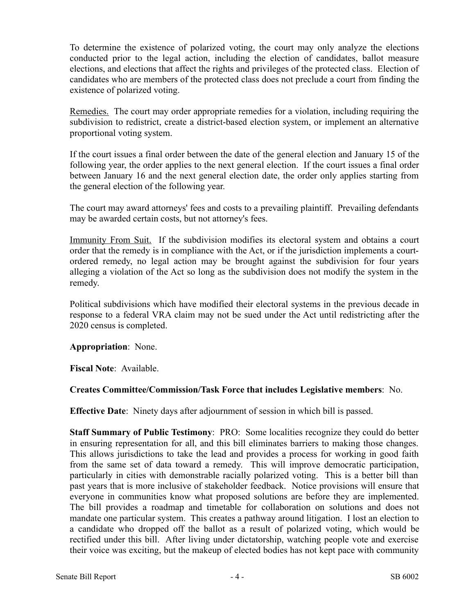To determine the existence of polarized voting, the court may only analyze the elections conducted prior to the legal action, including the election of candidates, ballot measure elections, and elections that affect the rights and privileges of the protected class. Election of candidates who are members of the protected class does not preclude a court from finding the existence of polarized voting.

Remedies. The court may order appropriate remedies for a violation, including requiring the subdivision to redistrict, create a district-based election system, or implement an alternative proportional voting system.

If the court issues a final order between the date of the general election and January 15 of the following year, the order applies to the next general election. If the court issues a final order between January 16 and the next general election date, the order only applies starting from the general election of the following year.

The court may award attorneys' fees and costs to a prevailing plaintiff. Prevailing defendants may be awarded certain costs, but not attorney's fees.

Immunity From Suit. If the subdivision modifies its electoral system and obtains a court order that the remedy is in compliance with the Act, or if the jurisdiction implements a courtordered remedy, no legal action may be brought against the subdivision for four years alleging a violation of the Act so long as the subdivision does not modify the system in the remedy.

Political subdivisions which have modified their electoral systems in the previous decade in response to a federal VRA claim may not be sued under the Act until redistricting after the 2020 census is completed.

#### **Appropriation**: None.

**Fiscal Note**: Available.

#### **Creates Committee/Commission/Task Force that includes Legislative members**: No.

**Effective Date**: Ninety days after adjournment of session in which bill is passed.

**Staff Summary of Public Testimony**: PRO: Some localities recognize they could do better in ensuring representation for all, and this bill eliminates barriers to making those changes. This allows jurisdictions to take the lead and provides a process for working in good faith from the same set of data toward a remedy. This will improve democratic participation, particularly in cities with demonstrable racially polarized voting. This is a better bill than past years that is more inclusive of stakeholder feedback. Notice provisions will ensure that everyone in communities know what proposed solutions are before they are implemented. The bill provides a roadmap and timetable for collaboration on solutions and does not mandate one particular system. This creates a pathway around litigation. I lost an election to a candidate who dropped off the ballot as a result of polarized voting, which would be rectified under this bill. After living under dictatorship, watching people vote and exercise their voice was exciting, but the makeup of elected bodies has not kept pace with community